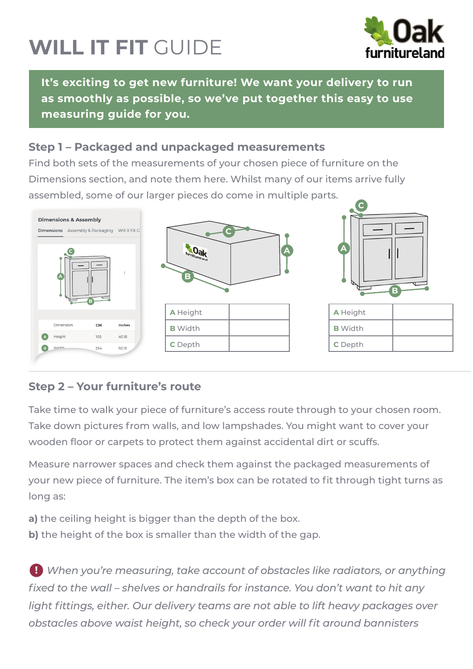## **WILL IT FIT** GUIDE



**It's exciting to get new furniture! We want your delivery to run as smoothly as possible, so we've put together this easy to use measuring guide for you.**

## **Step 1 – Packaged and unpackaged measurements**

Find both sets of the measurements of your chosen piece of furniture on the Dimensions section, and note them here. Whilst many of our items arrive fully assembled, some of our larger pieces do come in multiple parts.



## **Step 2 – Your furniture's route**

Take time to walk your piece of furniture's access route through to your chosen room. Take down pictures from walls, and low lampshades. You might want to cover your wooden floor or carpets to protect them against accidental dirt or scuffs.

Measure narrower spaces and check them against the packaged measurements of your new piece of furniture. The item's box can be rotated to fit through tight turns as long as:

- **a)** the ceiling height is bigger than the depth of the box.
- **b)** the height of the box is smaller than the width of the gap.

*P* When you're measuring, take account of obstacles like radiators, or anything fixed to the wall – shelves or handrails for instance. You don't want to hit any light fittings, either. Our delivery teams are not able to lift heavy packages over *obstacles above waist height, so check your order will fit around bannisters*